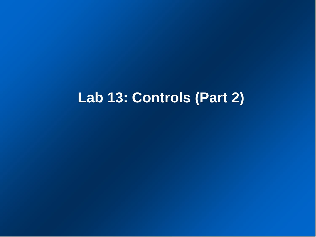# **Lab 13: Controls (Part 2)**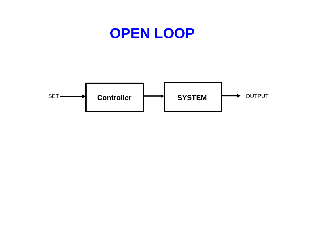## **OPEN LOOP**

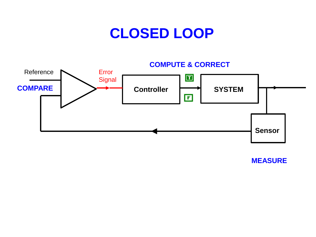## **CLOSED LOOP**

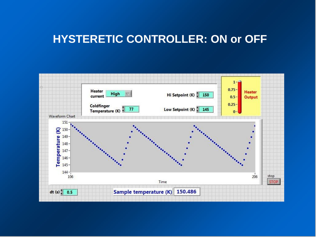## **HYSTERETIC CONTROLLER: ON or OFF**

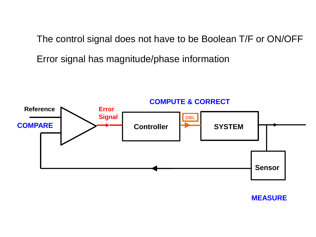The control signal does not have to be Boolean T/F or ON/OFF

Error signal has magnitude/phase information

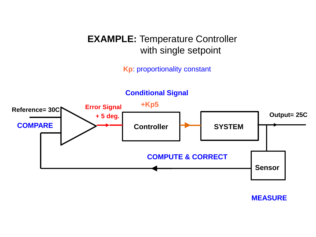## **EXAMPLE: Temperature Controller** with single setpoint

**Kp**: proportionality constant

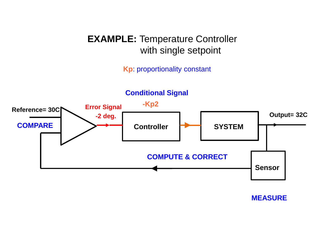## **EXAMPLE: Temperature Controller** with single setpoint

**Kp**: proportionality constant

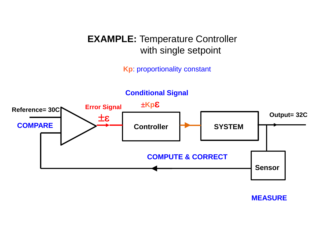## **EXAMPLE: Temperature Controller** with single setpoint

**Kp**: proportionality constant

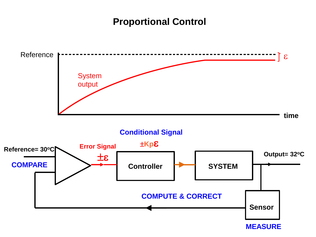#### **Proportional Control**

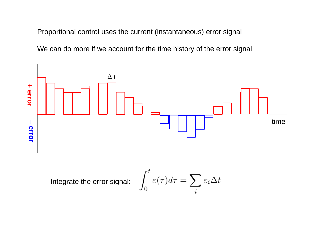Proportional control uses the current (instantaneous) error signal

We can do more if we account for the time history of the error signal

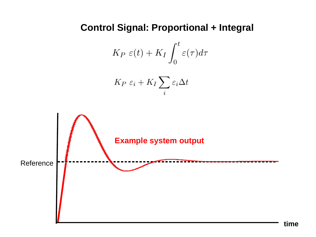### **Control Signal: Proportional + Integral**

$$
K_P \varepsilon(t) + K_I \int_0^t \varepsilon(\tau) d\tau
$$

$$
K_P \; \varepsilon_i + K_I \sum_i \varepsilon_i \Delta t
$$

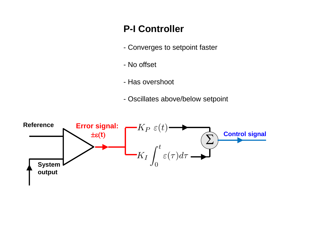## **P-I Controller**

- Converges to setpoint faster
- No offset
- Has overshoot
- Oscillates above/below setpoint

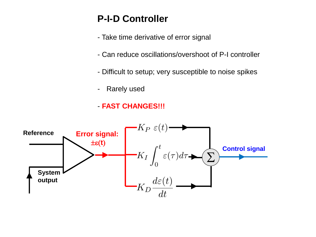## **P-I-D Controller**

- Take time derivative of error signal
- Can reduce oscillations/overshoot of P-I controller
- Difficult to setup; very susceptible to noise spikes
- Rarely used
- **FAST CHANGES!!!**

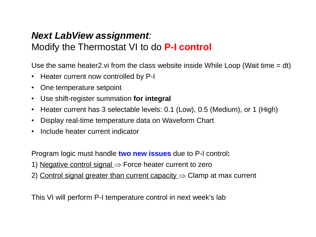## *Next LabView assignment:*

## Modify the Thermostat VI to do **P-I control**

Use the same heater2. vi from the class website inside While Loop (Wait time  $= dt$ )

- Heater current now controlled by P-I
- One temperature setpoint
- Use shift-register summation **for integral**
- Heater current has 3 selectable levels: 0.1 (Low), 0.5 (Medium), or 1 (High)
- Display real-time temperature data on Waveform Chart
- Include heater current indicator

Program logic must handle **two new issues** due to P-I control**:**

- 1) Negative control signal  $\Rightarrow$  Force heater current to zero
- 2) Control signal greater than current capacity  $\Rightarrow$  Clamp at max current

This VI will perform P-I temperature control in next week's lab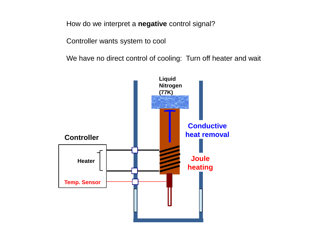How do we interpret a **negative** control signal?

Controller wants system to cool

We have no direct control of cooling: Turn off heater and wait

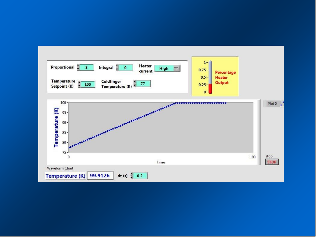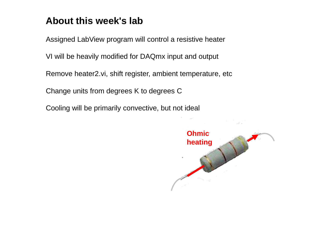## **About this week's lab**

Assigned LabView program will control a resistive heater

VI will be heavily modified for DAQmx input and output

Remove heater2.vi, shift register, ambient temperature, etc

Change units from degrees K to degrees C

Cooling will be primarily convective, but not ideal

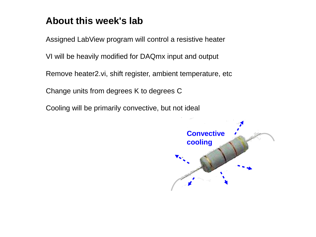## **About this week's lab**

Assigned LabView program will control a resistive heater

VI will be heavily modified for DAQmx input and output

Remove heater2.vi, shift register, ambient temperature, etc

Change units from degrees K to degrees C

Cooling will be primarily convective, but not ideal

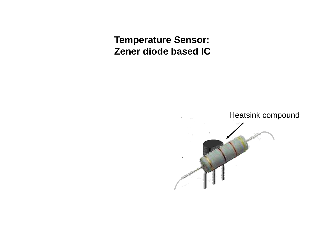**Temperature Sensor: Zener diode based IC**

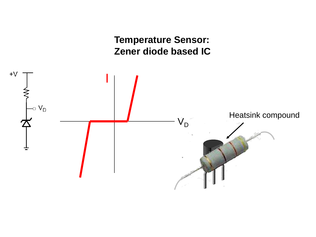**Temperature Sensor: Zener diode based IC**